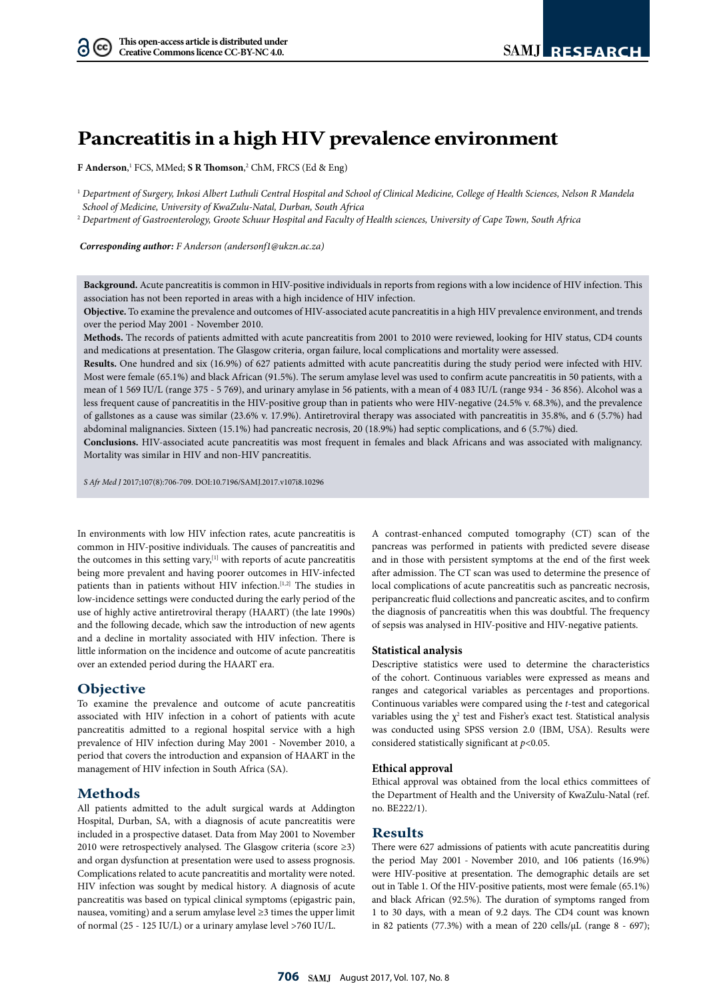# **Pancreatitis in a high HIV prevalence environment**

**F Anderson**, 1 FCS, MMed; **S R Thomson**, 2 ChM, FRCS (Ed & Eng)

<sup>1</sup> *Department of Surgery, Inkosi Albert Luthuli Central Hospital and School of Clinical Medicine, College of Health Sciences, Nelson R Mandela School of Medicine, University of KwaZulu-Natal, Durban, South Africa*

<sup>2</sup> *Department of Gastroenterology, Groote Schuur Hospital and Faculty of Health sciences, University of Cape Town, South Africa*

*Corresponding author: F Anderson [\(andersonf1@ukzn.ac.za](mailto:andersonf1@ukzn.ac.za))*

**Background.** Acute pancreatitis is common in HIV-positive individuals in reports from regions with a low incidence of HIV infection. This association has not been reported in areas with a high incidence of HIV infection.

**Objective.** To examine the prevalence and outcomes of HIV-associated acute pancreatitis in a high HIV prevalence environment, and trends over the period May 2001 - November 2010.

**Methods.** The records of patients admitted with acute pancreatitis from 2001 to 2010 were reviewed, looking for HIV status, CD4 counts and medications at presentation. The Glasgow criteria, organ failure, local complications and mortality were assessed.

**Results.** One hundred and six (16.9%) of 627 patients admitted with acute pancreatitis during the study period were infected with HIV. Most were female (65.1%) and black African (91.5%). The serum amylase level was used to confirm acute pancreatitis in 50 patients, with a mean of 1 569 IU/L (range 375 - 5 769), and urinary amylase in 56 patients, with a mean of 4 083 IU/L (range 934 - 36 856). Alcohol was a less frequent cause of pancreatitis in the HIV-positive group than in patients who were HIV-negative (24.5% v. 68.3%), and the prevalence of gallstones as a cause was similar (23.6% v. 17.9%). Antiretroviral therapy was associated with pancreatitis in 35.8%, and 6 (5.7%) had abdominal malignancies. Sixteen (15.1%) had pancreatic necrosis, 20 (18.9%) had septic complications, and 6 (5.7%) died.

**Conclusions.** HIV-associated acute pancreatitis was most frequent in females and black Africans and was associated with malignancy. Mortality was similar in HIV and non-HIV pancreatitis.

*S Afr Med J* 2017;107(8):706-709. DOI:<10.7196/SAMJ>.2017.v107i8.10296

In environments with low HIV infection rates, acute pancreatitis is common in HIV-positive individuals. The causes of pancreatitis and the outcomes in this setting vary, $[1]$  with reports of acute pancreatitis being more prevalent and having poorer outcomes in HIV-infected patients than in patients without HIV infection.<sup>[1,2]</sup> The studies in low-incidence settings were conducted during the early period of the use of highly active antiretroviral therapy (HAART) (the late 1990s) and the following decade, which saw the introduction of new agents and a decline in mortality associated with HIV infection. There is little information on the incidence and outcome of acute pancreatitis over an extended period during the HAART era.

## **Objective**

To examine the prevalence and outcome of acute pancreatitis associated with HIV infection in a cohort of patients with acute pancreatitis admitted to a regional hospital service with a high prevalence of HIV infection during May 2001 - November 2010, a period that covers the introduction and expansion of HAART in the management of HIV infection in South Africa (SA).

# **Methods**

All patients admitted to the adult surgical wards at Addington Hospital, Durban, SA, with a diagnosis of acute pancreatitis were included in a prospective dataset. Data from May 2001 to November 2010 were retrospectively analysed. The Glasgow criteria (score ≥3) and organ dysfunction at presentation were used to assess prognosis. Complications related to acute pancreatitis and mortality were noted. HIV infection was sought by medical history. A diagnosis of acute pancreatitis was based on typical clinical symptoms (epigastric pain, nausea, vomiting) and a serum amylase level ≥3 times the upper limit of normal (25 - 125 IU/L) or a urinary amylase level >760 IU/L.

A contrast-enhanced computed tomography (CT) scan of the pancreas was performed in patients with predicted severe disease and in those with persistent symptoms at the end of the first week after admission. The CT scan was used to determine the presence of local complications of acute pancreatitis such as pancreatic necrosis, peripancreatic fluid collections and pancreatic ascites, and to confirm the diagnosis of pancreatitis when this was doubtful. The frequency of sepsis was analysed in HIV-positive and HIV-negative patients.

#### **Statistical analysis**

Descriptive statistics were used to determine the characteristics of the cohort. Continuous variables were expressed as means and ranges and categorical variables as percentages and proportions. Continuous variables were compared using the *t*-test and categorical variables using the  $\chi^2$  test and Fisher's exact test. Statistical analysis was conducted using SPSS version 2.0 (IBM, USA). Results were considered statistically significant at *p*<0.05.

#### **Ethical approval**

Ethical approval was obtained from the local ethics committees of the Department of Health and the University of KwaZulu-Natal (ref. no. BE222/1).

## **Results**

There were 627 admissions of patients with acute pancreatitis during the period May 2001 - November 2010, and 106 patients (16.9%) were HIV-positive at presentation. The demographic details are set out in Table 1. Of the HIV-positive patients, most were female (65.1%) and black African (92.5%)*.* The duration of symptoms ranged from 1 to 30 days, with a mean of 9.2 days. The CD4 count was known in 82 patients (77.3%) with a mean of 220 cells/µL (range 8 - 697);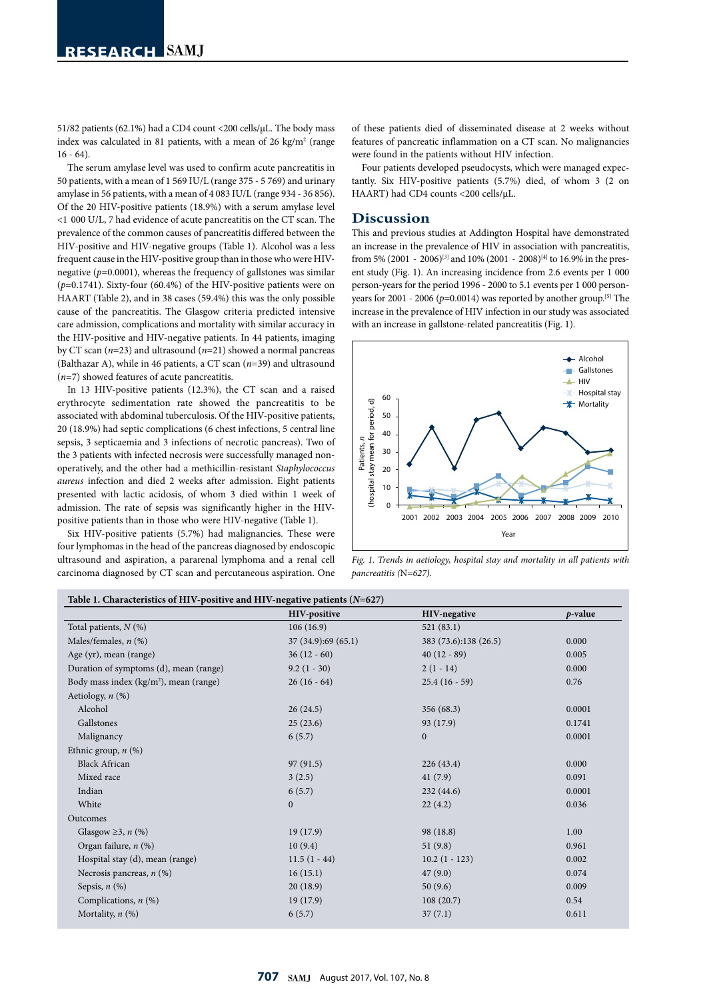51/82 patients (62.1%) had a CD4 count <200 cells/µL. The body mass index was calculated in 81 patients, with a mean of 26 kg/m<sup>2</sup> (range  $16 - 64$ 

The serum amylase level was used to confirm acute pancreatitis in 50 patients, with a mean of 1 569 IU/L (range 375 - 5 769) and urinary amylase in 56 patients, with a mean of 4 083 IU/L (range 934 - 36 856). Of the 20 HIV-positive patients (18.9%) with a serum amylase level <1 000 U/L, 7 had evidence of acute pancreatitis on the CT scan. The prevalence of the common causes of pancreatitis differed between the HIV-positive and HIV-negative groups (Table 1). Alcohol was a less frequent cause in the HIV-positive group than in those who were HIVnegative (*p*=0.0001), whereas the frequency of gallstones was similar (*p*=0.1741). Sixty-four (60.4%) of the HIV-positive patients were on HAART (Table 2), and in 38 cases (59.4%) this was the only possible cause of the pancreatitis. The Glasgow criteria predicted intensive care admission, complications and mortality with similar accuracy in the HIV-positive and HIV-negative patients. In 44 patients, imaging by CT scan (*n*=23) and ultrasound (*n*=21) showed a normal pancreas (Balthazar A), while in 46 patients, a CT scan (*n*=39) and ultrasound (*n*=7) showed features of acute pancreatitis.

In 13 HIV-positive patients (12.3%), the CT scan and a raised erythrocyte sedimentation rate showed the pancreatitis to be associated with abdominal tuberculosis. Of the HIV-positive patients, 20 (18.9%) had septic complications (6 chest infections, 5 central line sepsis, 3 septicaemia and 3 infections of necrotic pancreas). Two of the 3 patients with infected necrosis were successfully managed nonoperatively, and the other had a methicillin-resistant *Staphylococcus aureus* infection and died 2 weeks after admission. Eight patients presented with lactic acidosis, of whom 3 died within 1 week of admission. The rate of sepsis was significantly higher in the HIVpositive patients than in those who were HIV-negative (Table 1).

Six HIV-positive patients (5.7%) had malignancies. These were four lymphomas in the head of the pancreas diagnosed by endoscopic ultrasound and aspiration, a pararenal lymphoma and a renal cell carcinoma diagnosed by CT scan and percutaneous aspiration. One

of these patients died of disseminated disease at 2 weeks without features of pancreatic inflammation on a CT scan. No malignancies were found in the patients without HIV infection.

Four patients developed pseudocysts, which were managed expectantly. Six HIV-positive patients (5.7%) died, of whom 3 (2 on HAART) had CD4 counts <200 cells/µL.

## **Discussion**

This and previous studies at Addington Hospital have demonstrated an increase in the prevalence of HIV in association with pancreatitis, from 5% (2001 - 2006)<sup>[3]</sup> and 10% (2001 - 2008)<sup>[4]</sup> to 16.9% in the present study (Fig. 1). An increasing incidence from 2.6 events per 1 000 person-years for the period 1996 - 2000 to 5.1 events per 1 000 personyears for 2001 - 2006 ( $p=0.0014$ ) was reported by another group.<sup>[5]</sup> The increase in the prevalence of HIV infection in our study was associated with an increase in gallstone-related pancreatitis (Fig. 1).



*Fig. 1. Trends in aetiology, hospital stay and mortality in all patients with pancreatitis (*N*=627).*

|                                          | HIV-positive      | <b>HIV-negative</b>   | p-value |
|------------------------------------------|-------------------|-----------------------|---------|
| Total patients, $N$ (%)                  | 106(16.9)         | 521(83.1)             |         |
| Males/females, $n$ (%)                   | 37(34.9):69(65.1) | 383 (73.6):138 (26.5) | 0.000   |
| Age (yr), mean (range)                   | $36(12-60)$       | $40(12-89)$           | 0.005   |
| Duration of symptoms (d), mean (range)   | $9.2(1 - 30)$     | $2(1 - 14)$           | 0.000   |
| Body mass index $(kg/m2)$ , mean (range) | $26(16-64)$       | $25.4(16-59)$         | 0.76    |
| Aetiology, $n$ (%)                       |                   |                       |         |
| Alcohol                                  | 26(24.5)          | 356 (68.3)            | 0.0001  |
| Gallstones                               | 25(23.6)          | 93 (17.9)             | 0.1741  |
| Malignancy                               | 6(5.7)            | $\mathbf{0}$          | 0.0001  |
| Ethnic group, $n$ (%)                    |                   |                       |         |
| <b>Black African</b>                     | 97(91.5)          | 226(43.4)             | 0.000   |
| Mixed race                               | 3(2.5)            | 41(7.9)               | 0.091   |
| Indian                                   | 6(5.7)            | 232(44.6)             | 0.0001  |
| White                                    | $\boldsymbol{0}$  | 22(4.2)               | 0.036   |
| Outcomes                                 |                   |                       |         |
| Glasgow $\geq$ 3, <i>n</i> (%)           | 19(17.9)          | 98 (18.8)             | 1.00    |
| Organ failure, n (%)                     | 10(9.4)           | 51(9.8)               | 0.961   |
| Hospital stay (d), mean (range)          | $11.5(1 - 44)$    | $10.2(1 - 123)$       | 0.002   |
| Necrosis pancreas, $n$ (%)               | 16(15.1)          | 47(9.0)               | 0.074   |
| Sepsis, $n$ (%)                          | 20(18.9)          | 50(9.6)               | 0.009   |
| Complications, $n$ (%)                   | 19(17.9)          | 108(20.7)             | 0.54    |
| Mortality, $n$ (%)                       | 6(5.7)            | 37(7.1)               | 0.611   |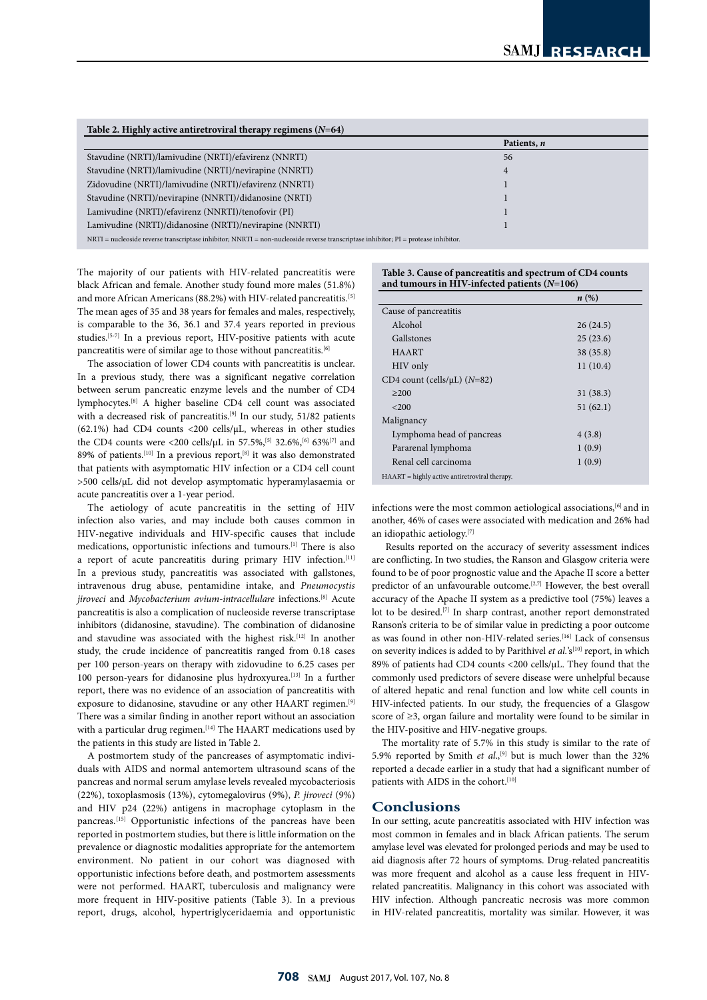| Table 2. Highly active antiretroviral therapy regimens $(N=64)$                                                                           |             |  |  |
|-------------------------------------------------------------------------------------------------------------------------------------------|-------------|--|--|
|                                                                                                                                           | Patients, n |  |  |
| Stavudine (NRTI)/lamivudine (NRTI)/efavirenz (NNRTI)                                                                                      | 56          |  |  |
| Stavudine (NRTI)/lamivudine (NRTI)/nevirapine (NNRTI)                                                                                     | 4           |  |  |
| Zidovudine (NRTI)/lamivudine (NRTI)/efavirenz (NNRTI)                                                                                     |             |  |  |
| Stavudine (NRTI)/nevirapine (NNRTI)/didanosine (NRTI)                                                                                     |             |  |  |
| Lamivudine (NRTI)/efavirenz (NNRTI)/tenofovir (PI)                                                                                        |             |  |  |
| Lamivudine (NRTI)/didanosine (NRTI)/nevirapine (NNRTI)                                                                                    |             |  |  |
| $NRTI$ = nucleoside reverse transcriptase inhibitor; $NNRTI$ = non-nucleoside reverse transcriptase inhibitor; $PI$ = protease inhibitor. |             |  |  |

The majority of our patients with HIV-related pancreatitis were black African and female. Another study found more males (51.8%) and more African Americans (88.2%) with HIV-related pancreatitis.<sup>[5]</sup> The mean ages of 35 and 38 years for females and males, respectively,

is comparable to the 36, 36.1 and 37.4 years reported in previous studies.[5-7] In a previous report, HIV-positive patients with acute pancreatitis were of similar age to those without pancreatitis.[6] The association of lower CD4 counts with pancreatitis is unclear. In a previous study, there was a significant negative correlation between serum pancreatic enzyme levels and the number of CD4

lymphocytes.[8] A higher baseline CD4 cell count was associated with a decreased risk of pancreatitis.<sup>[9]</sup> In our study, 51/82 patients (62.1%) had CD4 counts <200 cells/µL, whereas in other studies the CD4 counts were <200 cells/ $\mu$ L in 57.5%,<sup>[5]</sup> 32.6%,<sup>[6]</sup> 63%<sup>[7]</sup> and 89% of patients.<sup>[10]</sup> In a previous report,<sup>[8]</sup> it was also demonstrated that patients with asymptomatic HIV infection or a CD4 cell count >500 cells/µL did not develop asymptomatic hyperamylasaemia or acute pancreatitis over a 1-year period.

The aetiology of acute pancreatitis in the setting of HIV infection also varies, and may include both causes common in HIV-negative individuals and HIV-specific causes that include medications, opportunistic infections and tumours.[1] There is also a report of acute pancreatitis during primary HIV infection.<sup>[11]</sup> In a previous study, pancreatitis was associated with gallstones, intravenous drug abuse, pentamidine intake, and *Pneumocystis jiroveci* and *Mycobacterium avium-intracellulare* infections.[[8](https://docs.google.com/document/d/1qZymFV_Y9jbZHclLTQUvu7itOXttKjXt1fKK6bnEn8w/edit#heading=h.3dy6vkm)] Acute pancreatitis is also a complication of nucleoside reverse transcriptase inhibitors (didanosine, stavudine). The combination of didanosine and stavudine was associated with the highest risk.<sup>[12]</sup> In another study, the crude incidence of pancreatitis ranged from 0.18 cases per 100 person-years on therapy with zidovudine to 6.25 cases per 100 person-years for didanosine plus hydroxyurea.<sup>[13]</sup> In a further report, there was no evidence of an association of pancreatitis with exposure to didanosine, stavudine or any other HAART regimen.[9] There was a similar finding in another report without an association with a particular drug regimen.<sup>[14]</sup> The HAART medications used by the patients in this study are listed in Table 2.

A postmortem study of the pancreases of asymptomatic individuals with AIDS and normal antemortem ultrasound scans of the pancreas and normal serum amylase levels revealed mycobacteriosis (22%), toxoplasmosis (13%), cytomegalovirus (9%), *P. jiroveci* (9%) and HIV p24 (22%) antigens in macrophage cytoplasm in the pancreas.[15] Opportunistic infections of the pancreas have been reported in postmortem studies, but there is little information on the prevalence or diagnostic modalities appropriate for the antemortem environment. No patient in our cohort was diagnosed with opportunistic infections before death, and postmortem assessments were not performed. HAART, tuberculosis and malignancy were more frequent in HIV-positive patients (Table 3). In a previous report, drugs, alcohol, hypertriglyceridaemia and opportunistic

| Table 3. Cause of pancreatitis and spectrum of CD4 counts |
|-----------------------------------------------------------|
| and tumours in HIV-infected patients $(N=106)$            |

|                                                 | n(%)      |
|-------------------------------------------------|-----------|
| Cause of pancreatitis                           |           |
| Alcohol                                         | 26(24.5)  |
| Gallstones                                      | 25(23.6)  |
| <b>HAART</b>                                    | 38 (35.8) |
| HIV only                                        | 11(10.4)  |
| CD4 count (cells/ $\mu$ L) (N=82)               |           |
| >200                                            | 31(38.3)  |
| <200                                            | 51(62.1)  |
| Malignancy                                      |           |
| Lymphoma head of pancreas                       | 4(3.8)    |
| Pararenal lymphoma                              | 1(0.9)    |
| Renal cell carcinoma                            | 1(0.9)    |
| $HAART = highly active antiretroviral therapy.$ |           |

HAART = highly active antiretroviral therapy.

infections were the most common aetiological associations,<sup>[[6](https://docs.google.com/document/d/1qZymFV_Y9jbZHclLTQUvu7itOXttKjXt1fKK6bnEn8w/edit#heading=h.2xcytpi)]</sup> and in another, 46% of cases were associated with medication and 26% had an idiopathic aetiology.[7]

 Results reported on the accuracy of severity assessment indices are conflicting. In two studies, the Ranson and Glasgow criteria were found to be of poor prognostic value and the Apache II score a better predictor of an unfavourable outcome.<sup>[2,7]</sup> However, the best overall accuracy of the Apache II system as a predictive tool (75%) leaves a lot to be desired.[7] In sharp contrast, another report demonstrated Ranson's criteria to be of similar value in predicting a poor outcome as was found in other non-HIV-related series.<sup>[16]</sup> Lack of consensus on severity indices is added to by Parithivel *et al.*'s<sup>[10]</sup> report, in which 89% of patients had CD4 counts <200 cells/µL. They found that the commonly used predictors of severe disease were unhelpful because of altered hepatic and renal function and low white cell counts in HIV-infected patients. In our study, the frequencies of a Glasgow score of ≥3, organ failure and mortality were found to be similar in the HIV-positive and HIV-negative groups.

The mortality rate of 5.7% in this study is similar to the rate of 5.9% reported by Smith *et al.*,<sup>[9]</sup> but is much lower than the 32% reported a decade earlier in a study that had a significant number of patients with AIDS in the cohort.<sup>[10]</sup>

# **Conclusions**

In our setting, acute pancreatitis associated with HIV infection was most common in females and in black African patients. The serum amylase level was elevated for prolonged periods and may be used to aid diagnosis after 72 hours of symptoms. Drug-related pancreatitis was more frequent and alcohol as a cause less frequent in HIVrelated pancreatitis. Malignancy in this cohort was associated with HIV infection. Although pancreatic necrosis was more common in HIV-related pancreatitis, mortality was similar. However, it was